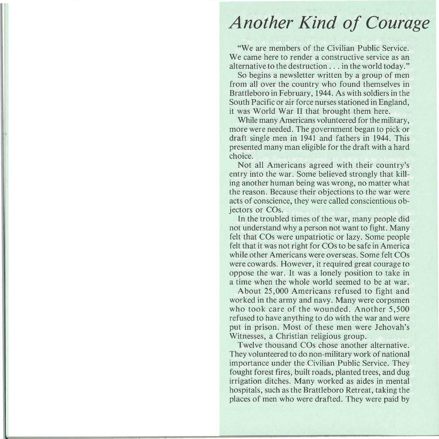## *Another Kind of Courage*

"We are members of the Civilian Public Service. We are members of the Civilian Public Service.<br>Le serve here to render a constructive service as an We came here to render a constructive service as an alternative to the destruction  $\ldots$  in the world today."

So begins a newsletter written by a group of men from all over the country who found themselves in Brattleboro in February, 1944. As with soldiers in the South Pacific or air force nurses stationed in England. it was World War II that brought them here.

While many Americans volunteered for the military. more were needed. The government began to pick or draft single men in 1941 and fathers in 1944. This presented many man eligible for the draft with a hard<br>choice. Not all Americans agreed with their country's

Not all Americans agreed with their country's  $\frac{1}{2}$ entry into the war. Some believed strongly that killing another human being was wrong, no matter what the reason. Because their objections to the war were acts of conscience, they were called conscientious objectors or COs. ors or COs.<br>In the troubled times of the war, many people did not

In the troubled times of the war, many people did not understand why a person not want to fight. Many felt that COs were unpatriotic or lazy. Some people felt that it was not right for COs to be safe in America. while other Americans were overseas. Some felt COs were cowards. However, it required great courage to oppose the war. It was a lonely position to take in a time when the whole world seemed to be at war.

About 25,000 Americans refused to fight and worked in the army and navy. Many were corpsmen who took care of the wounded. Another  $5,500$ refused to have anything to do with the war and were put in prison. Most of these men were Jehovah's Witnesses, a Christian religious group.

Twelve thousand COs chose another alternative. They volunteered to do non-military work of national importance under the Civilian Public Service. They fought forest fires, built roads, planted trees, and dug irrigation ditches. Many worked as aides in mental hospitals, such as the Brattleboro Retreat, taking the places of men who were drafted. They were paid by